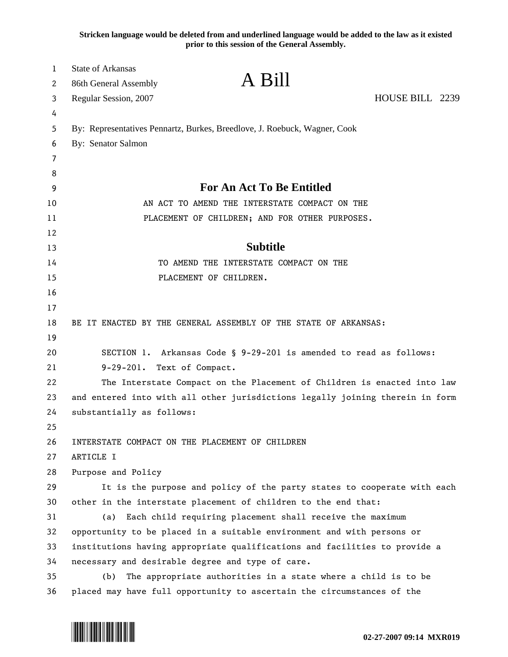**Stricken language would be deleted from and underlined language would be added to the law as it existed prior to this session of the General Assembly.**

| 1<br>2 | <b>State of Arkansas</b><br>A Bill<br>86th General Assembly                   |                                                                    |  |
|--------|-------------------------------------------------------------------------------|--------------------------------------------------------------------|--|
| 3      | Regular Session, 2007                                                         | HOUSE BILL 2239                                                    |  |
| 4      |                                                                               |                                                                    |  |
| 5      | By: Representatives Pennartz, Burkes, Breedlove, J. Roebuck, Wagner, Cook     |                                                                    |  |
| 6      | By: Senator Salmon                                                            |                                                                    |  |
| 7      |                                                                               |                                                                    |  |
| 8      |                                                                               |                                                                    |  |
| 9      | <b>For An Act To Be Entitled</b>                                              |                                                                    |  |
| 10     | AN ACT TO AMEND THE INTERSTATE COMPACT ON THE                                 |                                                                    |  |
| 11     | PLACEMENT OF CHILDREN; AND FOR OTHER PURPOSES.                                |                                                                    |  |
| 12     |                                                                               |                                                                    |  |
| 13     | <b>Subtitle</b>                                                               |                                                                    |  |
| 14     | TO AMEND THE INTERSTATE COMPACT ON THE                                        |                                                                    |  |
| 15     | PLACEMENT OF CHILDREN.                                                        |                                                                    |  |
| 16     |                                                                               |                                                                    |  |
| 17     |                                                                               |                                                                    |  |
| 18     | BE IT ENACTED BY THE GENERAL ASSEMBLY OF THE STATE OF ARKANSAS:               |                                                                    |  |
| 19     |                                                                               |                                                                    |  |
| 20     |                                                                               | SECTION 1. Arkansas Code § 9-29-201 is amended to read as follows: |  |
| 21     | 9-29-201. Text of Compact.                                                    |                                                                    |  |
| 22     | The Interstate Compact on the Placement of Children is enacted into law       |                                                                    |  |
| 23     | and entered into with all other jurisdictions legally joining therein in form |                                                                    |  |
| 24     | substantially as follows:                                                     |                                                                    |  |
| 25     |                                                                               |                                                                    |  |
| 26     | INTERSTATE COMPACT ON THE PLACEMENT OF CHILDREN                               |                                                                    |  |
| 27     | ARTICLE I                                                                     |                                                                    |  |
| 28     | Purpose and Policy                                                            |                                                                    |  |
| 29     | It is the purpose and policy of the party states to cooperate with each       |                                                                    |  |
| 30     | other in the interstate placement of children to the end that:                |                                                                    |  |
| 31     | (a) Each child requiring placement shall receive the maximum                  |                                                                    |  |
| 32     | opportunity to be placed in a suitable environment and with persons or        |                                                                    |  |
| 33     | institutions having appropriate qualifications and facilities to provide a    |                                                                    |  |
| 34     | necessary and desirable degree and type of care.                              |                                                                    |  |
| 35     | The appropriate authorities in a state where a child is to be<br>(b)          |                                                                    |  |
| 36     | placed may have full opportunity to ascertain the circumstances of the        |                                                                    |  |

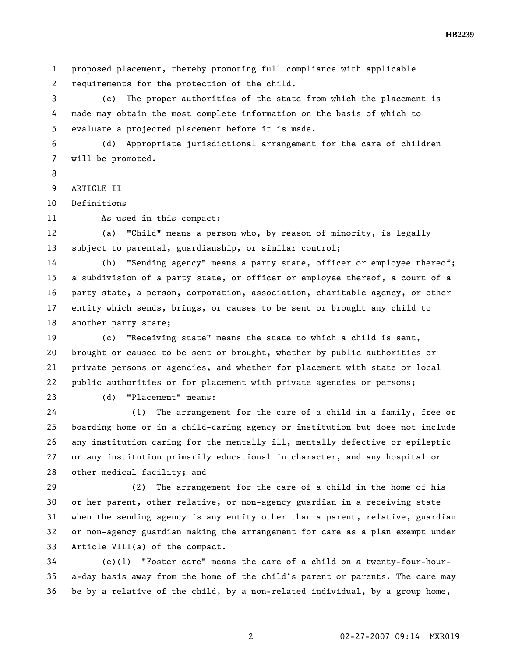1 proposed placement, thereby promoting full compliance with applicable 2 requirements for the protection of the child.

3 (c) The proper authorities of the state from which the placement is 4 made may obtain the most complete information on the basis of which to 5 evaluate a projected placement before it is made.

6 (d) Appropriate jurisdictional arrangement for the care of children 7 will be promoted.

8

9 ARTICLE II

10 Definitions

11 As used in this compact:

12 (a) "Child" means a person who, by reason of minority, is legally 13 subject to parental, guardianship, or similar control;

14 (b) "Sending agency" means a party state, officer or employee thereof; 15 a subdivision of a party state, or officer or employee thereof, a court of a 16 party state, a person, corporation, association, charitable agency, or other 17 entity which sends, brings, or causes to be sent or brought any child to 18 another party state;

19 (c) "Receiving state" means the state to which a child is sent, 20 brought or caused to be sent or brought, whether by public authorities or 21 private persons or agencies, and whether for placement with state or local 22 public authorities or for placement with private agencies or persons;

23 (d) "Placement" means:

24 (1) The arrangement for the care of a child in a family, free or 25 boarding home or in a child-caring agency or institution but does not include 26 any institution caring for the mentally ill, mentally defective or epileptic 27 or any institution primarily educational in character, and any hospital or 28 other medical facility; and

29 (2) The arrangement for the care of a child in the home of his 30 or her parent, other relative, or non-agency guardian in a receiving state 31 when the sending agency is any entity other than a parent, relative, guardian 32 or non-agency guardian making the arrangement for care as a plan exempt under 33 Article VIII(a) of the compact.

34 (e)(1) "Foster care" means the care of a child on a twenty-four-hour-35 a-day basis away from the home of the child's parent or parents. The care may 36 be by a relative of the child, by a non-related individual, by a group home,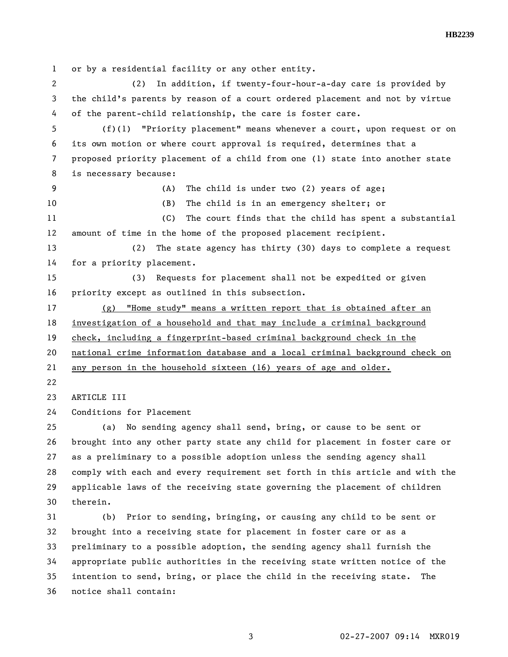1 or by a residential facility or any other entity.

2 (2) In addition, if twenty-four-hour-a-day care is provided by 3 the child's parents by reason of a court ordered placement and not by virtue 4 of the parent-child relationship, the care is foster care.

5 (f)(1) "Priority placement" means whenever a court, upon request or on 6 its own motion or where court approval is required, determines that a 7 proposed priority placement of a child from one (1) state into another state 8 is necessary because:

9 (A) The child is under two (2) years of age; 10 (B) The child is in an emergency shelter; or 11 (C) The court finds that the child has spent a substantial 12 amount of time in the home of the proposed placement recipient.

13 (2) The state agency has thirty (30) days to complete a request 14 for a priority placement.

15 (3) Requests for placement shall not be expedited or given 16 priority except as outlined in this subsection.

17 (g) "Home study" means a written report that is obtained after an 18 investigation of a household and that may include a criminal background 19 check, including a fingerprint-based criminal background check in the 20 national crime information database and a local criminal background check on 21 any person in the household sixteen (16) years of age and older.

22

23 ARTICLE III

24 Conditions for Placement

25 (a) No sending agency shall send, bring, or cause to be sent or 26 brought into any other party state any child for placement in foster care or 27 as a preliminary to a possible adoption unless the sending agency shall 28 comply with each and every requirement set forth in this article and with the 29 applicable laws of the receiving state governing the placement of children 30 therein.

31 (b) Prior to sending, bringing, or causing any child to be sent or 32 brought into a receiving state for placement in foster care or as a 33 preliminary to a possible adoption, the sending agency shall furnish the 34 appropriate public authorities in the receiving state written notice of the 35 intention to send, bring, or place the child in the receiving state. The 36 notice shall contain: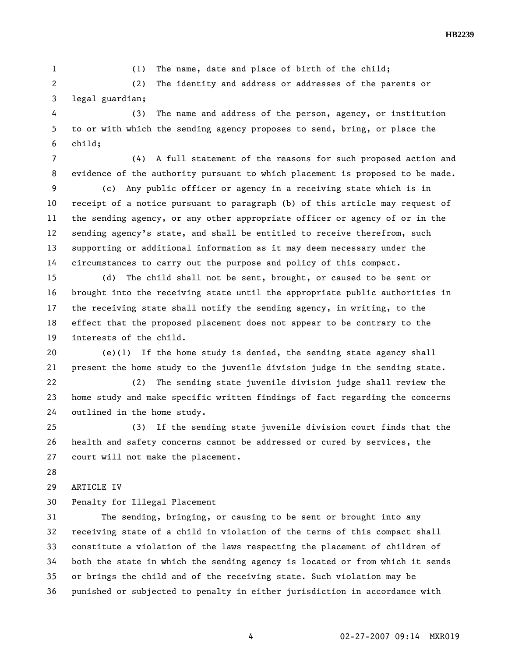1 (1) The name, date and place of birth of the child;

2 (2) The identity and address or addresses of the parents or 3 legal guardian;

4 (3) The name and address of the person, agency, or institution 5 to or with which the sending agency proposes to send, bring, or place the 6 child;

7 (4) A full statement of the reasons for such proposed action and 8 evidence of the authority pursuant to which placement is proposed to be made.

9 (c) Any public officer or agency in a receiving state which is in 10 receipt of a notice pursuant to paragraph (b) of this article may request of 11 the sending agency, or any other appropriate officer or agency of or in the 12 sending agency's state, and shall be entitled to receive therefrom, such 13 supporting or additional information as it may deem necessary under the 14 circumstances to carry out the purpose and policy of this compact.

15 (d) The child shall not be sent, brought, or caused to be sent or 16 brought into the receiving state until the appropriate public authorities in 17 the receiving state shall notify the sending agency, in writing, to the 18 effect that the proposed placement does not appear to be contrary to the 19 interests of the child.

20 (e)(1) If the home study is denied, the sending state agency shall 21 present the home study to the juvenile division judge in the sending state.

22 (2) The sending state juvenile division judge shall review the 23 home study and make specific written findings of fact regarding the concerns 24 outlined in the home study.

25 (3) If the sending state juvenile division court finds that the 26 health and safety concerns cannot be addressed or cured by services, the 27 court will not make the placement.

28

29 ARTICLE IV

30 Penalty for Illegal Placement

31 The sending, bringing, or causing to be sent or brought into any 32 receiving state of a child in violation of the terms of this compact shall 33 constitute a violation of the laws respecting the placement of children of 34 both the state in which the sending agency is located or from which it sends 35 or brings the child and of the receiving state. Such violation may be 36 punished or subjected to penalty in either jurisdiction in accordance with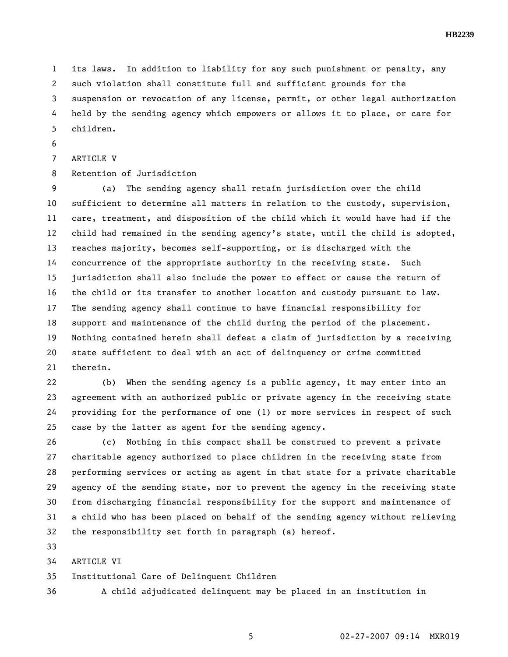1 its laws. In addition to liability for any such punishment or penalty, any 2 such violation shall constitute full and sufficient grounds for the 3 suspension or revocation of any license, permit, or other legal authorization 4 held by the sending agency which empowers or allows it to place, or care for 5 children.

6

## 7 ARTICLE V

8 Retention of Jurisdiction

9 (a) The sending agency shall retain jurisdiction over the child 10 sufficient to determine all matters in relation to the custody, supervision, 11 care, treatment, and disposition of the child which it would have had if the 12 child had remained in the sending agency's state, until the child is adopted, 13 reaches majority, becomes self-supporting, or is discharged with the 14 concurrence of the appropriate authority in the receiving state. Such 15 jurisdiction shall also include the power to effect or cause the return of 16 the child or its transfer to another location and custody pursuant to law. 17 The sending agency shall continue to have financial responsibility for 18 support and maintenance of the child during the period of the placement. 19 Nothing contained herein shall defeat a claim of jurisdiction by a receiving 20 state sufficient to deal with an act of delinquency or crime committed 21 therein.

22 (b) When the sending agency is a public agency, it may enter into an 23 agreement with an authorized public or private agency in the receiving state 24 providing for the performance of one (1) or more services in respect of such 25 case by the latter as agent for the sending agency.

26 (c) Nothing in this compact shall be construed to prevent a private 27 charitable agency authorized to place children in the receiving state from 28 performing services or acting as agent in that state for a private charitable 29 agency of the sending state, nor to prevent the agency in the receiving state 30 from discharging financial responsibility for the support and maintenance of 31 a child who has been placed on behalf of the sending agency without relieving 32 the responsibility set forth in paragraph (a) hereof.

33

34 ARTICLE VI

35 Institutional Care of Delinquent Children

36 A child adjudicated delinquent may be placed in an institution in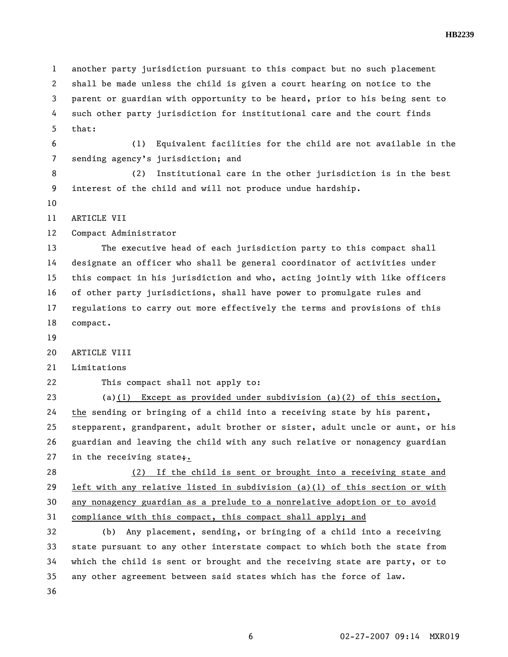1 another party jurisdiction pursuant to this compact but no such placement 2 shall be made unless the child is given a court hearing on notice to the 3 parent or guardian with opportunity to be heard, prior to his being sent to 4 such other party jurisdiction for institutional care and the court finds 5 that:

6 (1) Equivalent facilities for the child are not available in the 7 sending agency's jurisdiction; and

8 (2) Institutional care in the other jurisdiction is in the best 9 interest of the child and will not produce undue hardship.

10

11 ARTICLE VII

12 Compact Administrator

13 The executive head of each jurisdiction party to this compact shall 14 designate an officer who shall be general coordinator of activities under 15 this compact in his jurisdiction and who, acting jointly with like officers 16 of other party jurisdictions, shall have power to promulgate rules and 17 regulations to carry out more effectively the terms and provisions of this 18 compact.

19

20 ARTICLE VIII

21 Limitations

22 This compact shall not apply to:

23 (a)(1) Except as provided under subdivision (a)(2) of this section, 24 the sending or bringing of a child into a receiving state by his parent, 25 stepparent, grandparent, adult brother or sister, adult uncle or aunt, or his 26 guardian and leaving the child with any such relative or nonagency guardian 27 in the receiving state $\frac{1}{2}$ .

28 (2) If the child is sent or brought into a receiving state and 29 left with any relative listed in subdivision (a)(1) of this section or with 30 any nonagency guardian as a prelude to a nonrelative adoption or to avoid 31 compliance with this compact, this compact shall apply; and

32 (b) Any placement, sending, or bringing of a child into a receiving 33 state pursuant to any other interstate compact to which both the state from 34 which the child is sent or brought and the receiving state are party, or to 35 any other agreement between said states which has the force of law. 36